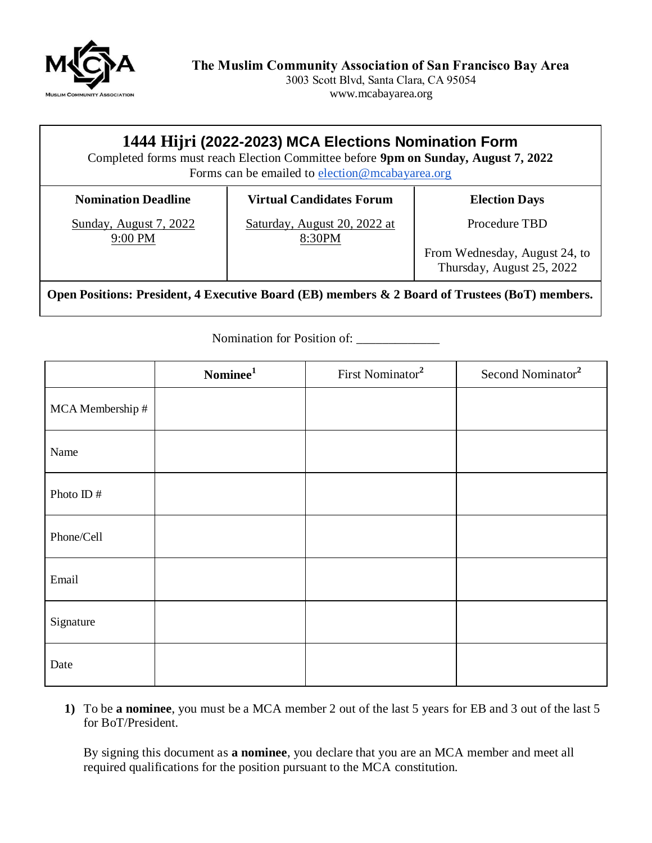

3003 Scott Blvd, Santa Clara, CA 95054 www.mcabayarea.org

## **1444 Hijri (2022-2023) MCA Elections Nomination Form**

Completed forms must reach Election Committee before **9pm on Sunday, August 7, 2022** Forms can be emailed to [election@mcabayarea.org](mailto:election@mcabayarea.org)

**Nomination Deadline**

## **Virtual Candidates Forum**

**Election Days**

Sunday, August 7, 2022 9:00 PM

Saturday, August 20, 2022 at 8:30PM

Procedure TBD

From Wednesday, August 24, to Thursday, August 25, 2022

**Open Positions: President, 4 Executive Board (EB) members & 2 Board of Trustees (BoT) members.**

Nomination for Position of:

|                  | $\mbox{Nominee}^1$ | First Nominator <sup>2</sup> | Second Nominator <sup>2</sup> |
|------------------|--------------------|------------------------------|-------------------------------|
| MCA Membership # |                    |                              |                               |
| Name             |                    |                              |                               |
| Photo ID $\#$    |                    |                              |                               |
| Phone/Cell       |                    |                              |                               |
| Email            |                    |                              |                               |
| Signature        |                    |                              |                               |
| Date             |                    |                              |                               |

**1)** To be **a nominee**, you must be a MCA member 2 out of the last 5 years for EB and 3 out of the last 5 for BoT/President.

By signing this document as **a nominee**, you declare that you are an MCA member and meet all required qualifications for the position pursuant to the MCA constitution.